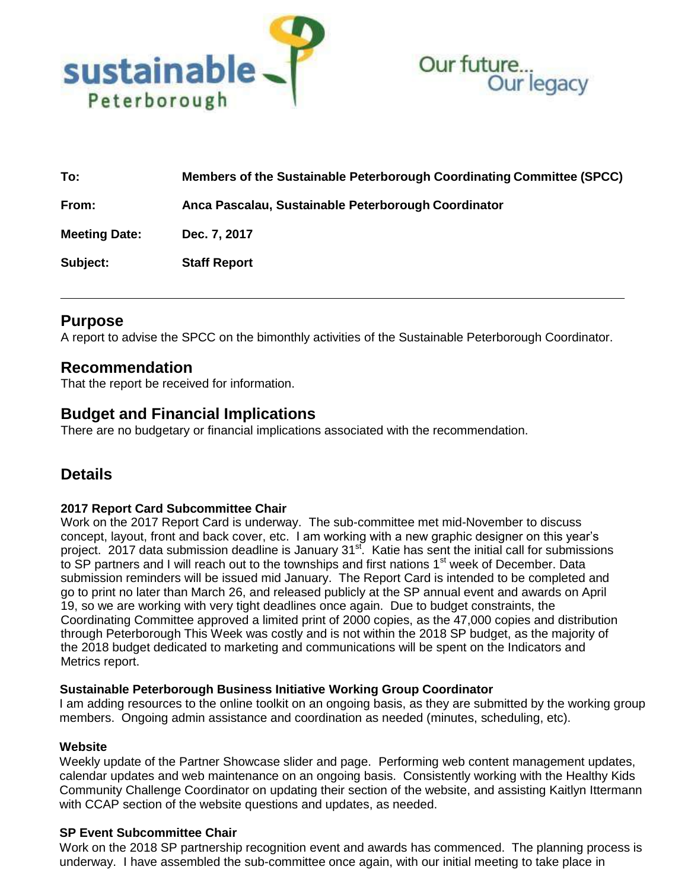



| To:                  | Members of the Sustainable Peterborough Coordinating Committee (SPCC) |
|----------------------|-----------------------------------------------------------------------|
| From:                | Anca Pascalau, Sustainable Peterborough Coordinator                   |
| <b>Meeting Date:</b> | Dec. 7, 2017                                                          |
| Subject:             | <b>Staff Report</b>                                                   |

# **Purpose**

A report to advise the SPCC on the bimonthly activities of the Sustainable Peterborough Coordinator.

## **Recommendation**

That the report be received for information.

# **Budget and Financial Implications**

There are no budgetary or financial implications associated with the recommendation.

# **Details**

## **2017 Report Card Subcommittee Chair**

Work on the 2017 Report Card is underway. The sub-committee met mid-November to discuss concept, layout, front and back cover, etc. I am working with a new graphic designer on this year's project. 2017 data submission deadline is January 31<sup>st</sup>. Katie has sent the initial call for submissions to SP partners and I will reach out to the townships and first nations 1<sup>st</sup> week of December. Data submission reminders will be issued mid January. The Report Card is intended to be completed and go to print no later than March 26, and released publicly at the SP annual event and awards on April 19, so we are working with very tight deadlines once again. Due to budget constraints, the Coordinating Committee approved a limited print of 2000 copies, as the 47,000 copies and distribution through Peterborough This Week was costly and is not within the 2018 SP budget, as the majority of the 2018 budget dedicated to marketing and communications will be spent on the Indicators and Metrics report.

## **Sustainable Peterborough Business Initiative Working Group Coordinator**

I am adding resources to the online toolkit on an ongoing basis, as they are submitted by the working group members. Ongoing admin assistance and coordination as needed (minutes, scheduling, etc).

#### **Website**

Weekly update of the Partner Showcase slider and page. Performing web content management updates, calendar updates and web maintenance on an ongoing basis. Consistently working with the Healthy Kids Community Challenge Coordinator on updating their section of the website, and assisting Kaitlyn Ittermann with CCAP section of the website questions and updates, as needed.

## **SP Event Subcommittee Chair**

Work on the 2018 SP partnership recognition event and awards has commenced. The planning process is underway. I have assembled the sub-committee once again, with our initial meeting to take place in